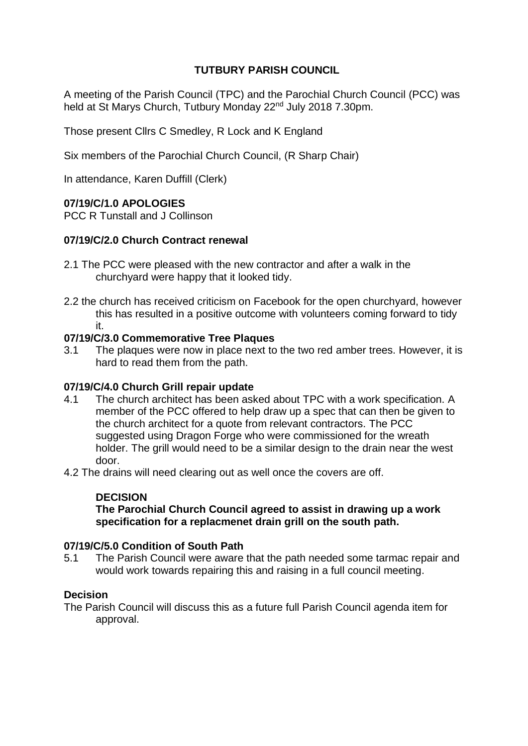# **TUTBURY PARISH COUNCIL**

A meeting of the Parish Council (TPC) and the Parochial Church Council (PCC) was held at St Marys Church, Tutbury Monday 22<sup>nd</sup> July 2018 7.30pm.

Those present Cllrs C Smedley, R Lock and K England

Six members of the Parochial Church Council, (R Sharp Chair)

In attendance, Karen Duffill (Clerk)

## **07/19/C/1.0 APOLOGIES**

PCC R Tunstall and J Collinson

## **07/19/C/2.0 Church Contract renewal**

- 2.1 The PCC were pleased with the new contractor and after a walk in the churchyard were happy that it looked tidy.
- 2.2 the church has received criticism on Facebook for the open churchyard, however this has resulted in a positive outcome with volunteers coming forward to tidy it.

### **07/19/C/3.0 Commemorative Tree Plaques**

3.1 The plaques were now in place next to the two red amber trees. However, it is hard to read them from the path.

### **07/19/C/4.0 Church Grill repair update**

4.1 The church architect has been asked about TPC with a work specification. A member of the PCC offered to help draw up a spec that can then be given to the church architect for a quote from relevant contractors. The PCC suggested using Dragon Forge who were commissioned for the wreath holder. The grill would need to be a similar design to the drain near the west door.

4.2 The drains will need clearing out as well once the covers are off.

# **DECISION**

**The Parochial Church Council agreed to assist in drawing up a work specification for a replacmenet drain grill on the south path.**

### **07/19/C/5.0 Condition of South Path**

5.1 The Parish Council were aware that the path needed some tarmac repair and would work towards repairing this and raising in a full council meeting.

### **Decision**

The Parish Council will discuss this as a future full Parish Council agenda item for approval.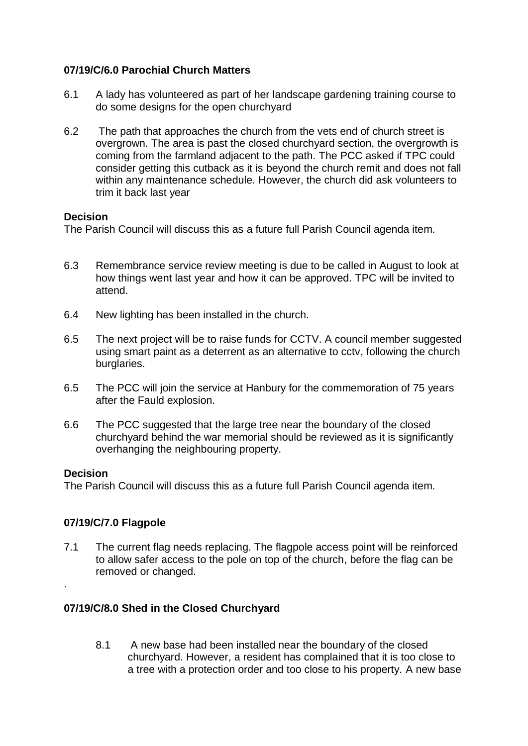# **07/19/C/6.0 Parochial Church Matters**

- 6.1 A lady has volunteered as part of her landscape gardening training course to do some designs for the open churchyard
- 6.2 The path that approaches the church from the vets end of church street is overgrown. The area is past the closed churchyard section, the overgrowth is coming from the farmland adjacent to the path. The PCC asked if TPC could consider getting this cutback as it is beyond the church remit and does not fall within any maintenance schedule. However, the church did ask volunteers to trim it back last year

### **Decision**

The Parish Council will discuss this as a future full Parish Council agenda item.

- 6.3 Remembrance service review meeting is due to be called in August to look at how things went last year and how it can be approved. TPC will be invited to attend.
- 6.4 New lighting has been installed in the church.
- 6.5 The next project will be to raise funds for CCTV. A council member suggested using smart paint as a deterrent as an alternative to cctv, following the church burglaries.
- 6.5 The PCC will join the service at Hanbury for the commemoration of 75 years after the Fauld explosion.
- 6.6 The PCC suggested that the large tree near the boundary of the closed churchyard behind the war memorial should be reviewed as it is significantly overhanging the neighbouring property.

### **Decision**

.

The Parish Council will discuss this as a future full Parish Council agenda item.

### **07/19/C/7.0 Flagpole**

7.1 The current flag needs replacing. The flagpole access point will be reinforced to allow safer access to the pole on top of the church, before the flag can be removed or changed.

## **07/19/C/8.0 Shed in the Closed Churchyard**

8.1 A new base had been installed near the boundary of the closed churchyard. However, a resident has complained that it is too close to a tree with a protection order and too close to his property. A new base